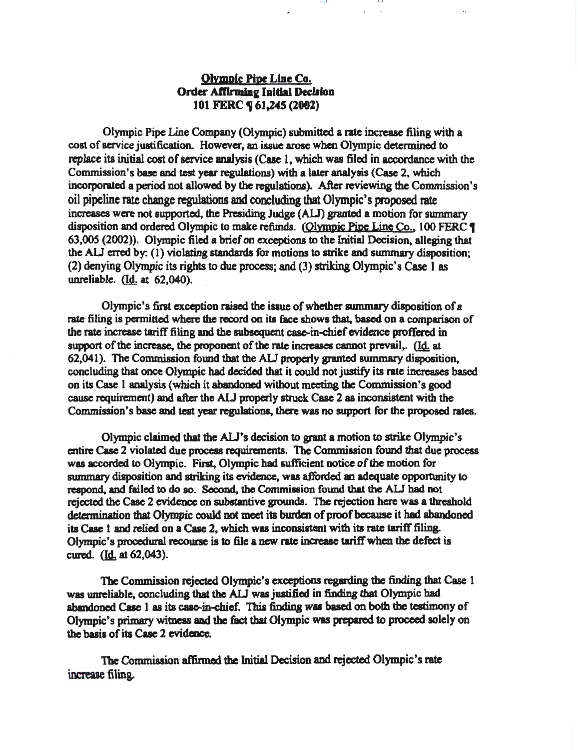# Olympic Pipe Line Co. Order Affirming Initial Declaion 101 FERC  $\P$  61,245 (2002)

JD I J I

 $-0.01$ 

Olympic Pipe Line Company (Olympic) submitted a rate increase filing with a cost of service justification. However, an issue arose when Olympic determined to replace its initial cost of service analysis (Case 1, which was filed in accordance with the Commission's base and test year regulations) with a later analysis (Case 2, which incorporated a period not allowed by the regulations). After reviewing the Commission's oil pipeline rate change regulations and concluding that Olympic's proposed rate increases were not supported, the Presiding Judge (ALJ) granted a motion for summary disposition and ordered Olympic to make refunds. (Olympic Pipe Line Co., 100 FERC 1 63,005 (2002)). Olympic filed a brief on exceptions to the Initial Decision, alleging that the ALJ erred by:  $(1)$  violating standards for motions to strike and summary disposition; (2) denying Olympic its rights to due process; and (3) striking Olympic's Case I as unreliable. (Id. at 62,040).

Olympic's first exception raised the issue of whether summary disposition of a rate filing is permitted where the record on its face shows that. based on a comparison of the rate increase tariff filing and the subsequent case-in-chief evidence proffered in support of the increase, the proponent of the rate increases cannot prevail,. (Id. at 62,041). The Commission found that the ALJ properly granted summary disposition, concluding that once Olympic had decided that it could not justify its rate increases based on its Case 1 analysis {which it abandoned without meeting the Commission's good cause requirement) and after the AU properly struck Case 2 as inconsistent with the Commission's base and test year regulations, there was no support for the proposed rates.

Olympic claimed that the AU's decision to grant a motion to strike Olympic's entire Case 2 violated due process requirements. The Commission found that due process was accorded to Olympic. First, Olympic had sufficient notice of the motion for summary disposition and striking its evidence, was afforded an adequate opportunity to respond, and failed to do so. Second, the Commiaaion found that the AU had not rejected the Case 2 evidence on substantive grounds. The rejection here was a threshold determination that Olympic could not meet its burden of proof because it had abandoned its Case 1 and relied on a Case 2, which waa inconsistent with its rate tariff filing. Olympic's procedural recourse is to file a new rate increase tariff when the defect is cured. (Id. at 62,043).

The Commission rejected Olympic's exceptions regarding tbe finding that Case 1 was unreliable, concluding that the ALJ was justified in finding that Olympic had abandoned Case 1 as its case-in-chief. This finding was based on both the testimony of Olympic's primary witness and the fact that Olympic was prepamd to proceed solely on the basis of its Case 2 evidence.

The Commission affirmed the Initial Decision and rejected Olympic's rate increase filing.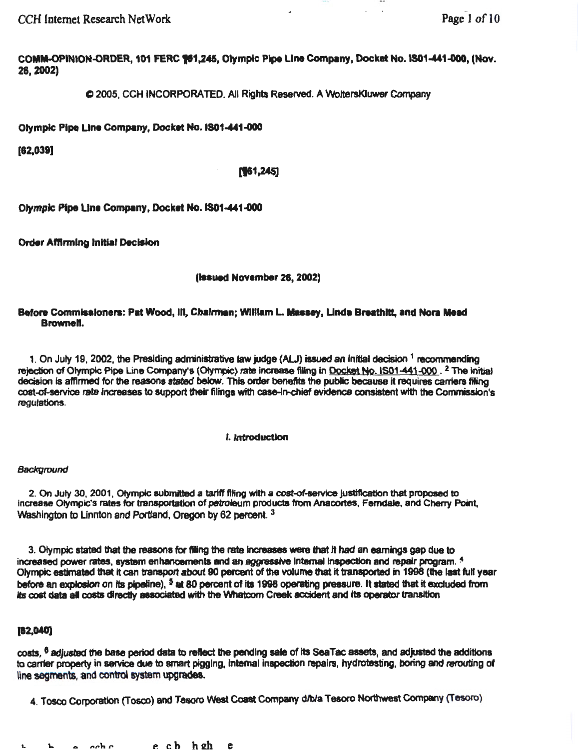CCH Internet Research NetWork **Page 1 of 10** 

COMM-OPINION-ORDER, 101 FERC 161,245, Olympic Pipe Line Company, Docket No. IS01-441-000, (Nov. 28,2002)

C12005, CCH INCORPORATED. All Rights Reserved. A WottersKiuwer Company

Olympic Pipe Line Company, Docket No. IS01-441-000

(82,039]

## $[161, 245]$

Olympic Pipe Line Company, Docket No. IS01-441-000

Order Affirming Initial Decision

## (issued November 26, 2002)

### Before Commissioners: Pat Wood, III, Chalrman; William L. Massey, Linda Breathitt, and Nora Mead Brownell.

1. On July 19, 2002, the Presiding administrative law judge (ALJ) issued an initial decision  $1$  recommending rejection of Olympic Pipe Line Company's (Olympic) rate increase filing in Docket No. IS01-441-000. <sup>2</sup> The initial decision is affirmed for the reasons stated below. This order benefits the public because it requires carriers filing cost-of-service rate increases to support their filings with case-in-chief evidence consistent with the Commission's regulations.

### •• Introduction

### **Background**

2. On July 30, 2001, Olympic submitted a tariff filing with a cost-of-service justification that proposed to increase Olympic's rates for transportation of petroleum products from Anacortes, Ferndale, and Cherry Point, Washington to Linnton and Portland, Oregon by 62 percent.<sup>3</sup>

3. Olympic stated that the reasons for filing the rate increases were that it had an earnings gap due to increased power rates, system enhancements and an aggressive internal inspection and repair program. <sup>4</sup> Olympic estimated that it can transport about 90 percent of the volume that it transported in 1998 (the last full year before an explosion on its pipeline), <sup>5</sup> at 80 percent of its 1998 operating pressure. It stated that it excluded from its cost data all costs directly associated with the Whatcom Creek accident and its operator transition

## (12,MO]

costs, <sup>6</sup> adjusted the base period data to reflect the pending sale of its SeaTac assets, and adjusted the additions to carrier property in service due to smart pigging, internal inspection repairs, hydrotesting, boring and rerouting of line segments, and control system upgrades.

4. Tosco Corporation (Tosco) and Tesoro West Coast Company d/bla Tesoro Northwest Company (Tesoro)

<sup>1</sup> h a cch c c c b h gh e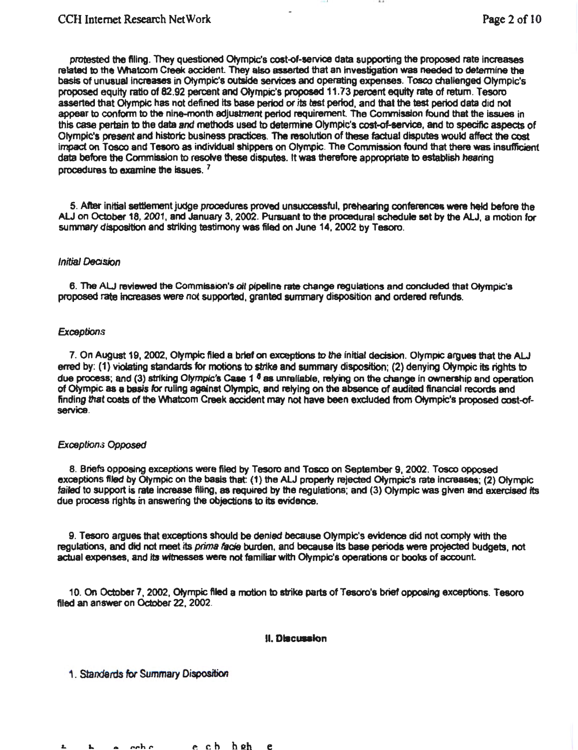protested the filing. They questioned Olympic's cost-of-service data supporting the proposed rate increases related to the Whatcom Creek accident. They also asserted that an investigation was needed to determine the basis of unusual increases in Otympic's outside services and operating expenses. Tosco challenged Olympic's proposed equity ratio of 82.92 percent and Olympic's proposed 11 .73 percent equity rata of return. Tesoro asserted that Olympic has not defined its base period or its test period, and that the test period data did not appear to conform to the nine-month adjustment period requirement. The Commission found that the issues in this case pertain to the data and methods used to detennine Olympic's cost-of-service, and to specific aspects of Olympic's present and historic business practices. The resolution of these factual disputes would affect the cost impact on Tosco and Tesoro as individual shippers on Olympic. The Commission found that there was insufficient data before the Commission to resolve these disputes. It was therefore appropriate to establish hearing procedures to examine the issues. <sup>7</sup>

5. After initial settlement judge procedures proved unsuccessful, prehearing conferences were held before the ALJ on October 18, 2001, and January 3, 2002. Pursuant to the procedural schedule set by the AU, a motion for summary disposition and striking testimony was filed on June 14, 2002 by Tesoro.

#### Initial DeCision

6. The ALJ reviewed the Commission's oil pipeline rate change regulations and concluded that Olympic's proposed rate Increases were not supported, granted summary disposition and ordered refunds.

#### **Exceptions**

7. On August 19, 2002, Olympic filed a brief on exceptions to the initial decision. Olympic argues that the ALJ erred by: (1) violating standards for motions to strike and summary disposition; (2) denying Olympic its rights to due process; and (3) striking Olympic's Case 1  $6$  as unreliable, relying on the change in ownership and operation of Otympic as a basis for ruling against Olympic, and relying on the absence of audited financial records and finding that costs of the VVhatcom Creek accident may not have been excluded from Otympie's proposed cost-ofservice.

#### Exceptions Opposed

8. Briefs opposing exceptions were filed by Tesoro and Tosco on September 9, 2002. Tosco opposed exceptions filed by Olympic on the basis that: (1) the ALJ property rejected Olympic's rate increases; (2) Olympic failed to support is rate increase filing, as required by the regulations; and (3) Olympic was given and exercised its due process rights in answering the objections to its evidence.

9. Tesoro argues that exceptions should be denied because Olympic's evidence did not comply with the regulations, and did not meet its prima facie burden, and because its base periods were projected budgets, not actual expenses, and its witnesses were not familiar with Olympic's operations or books of account.

10. On October 7, 2002, Olympic filed a motion to strike parts of Tesoro's brief opposing exceptions. Tesoro filed an answer on October 22, 2002.

#### **11. Discussion**

1. Standards for Summary Disposition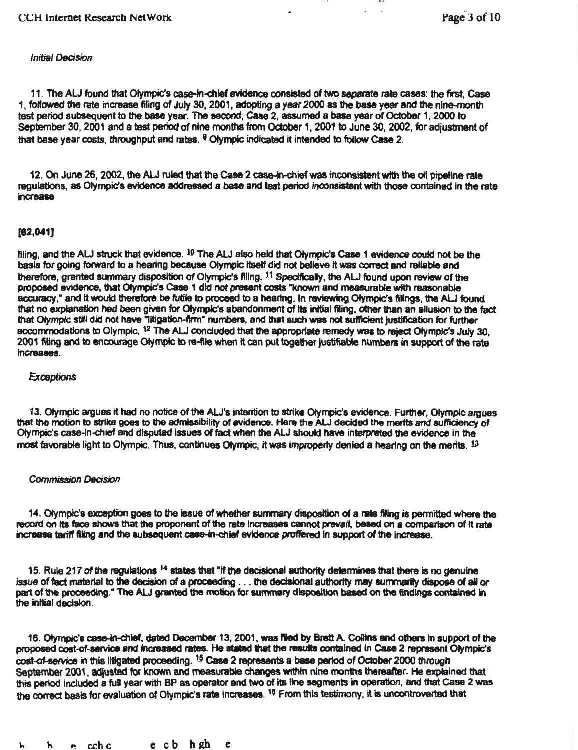#### Initial *Decision*

11. The ALJ found that Olympic's case-in-chief evidence consisted of two separate rate cases: the first Case 1, followed the rate increase filing of July 30, 2001, adopting a year 2000 as the base year and the nine-month test period subsequent to the base year. The aecond, Case 2. assumed a base year of October 1, 2000 to September 30, 2001 and a test period of nine months from October 1, 2001 to June 30, 2002, for adjustment of that base year costs, throughput and rates. <sup>9</sup> Olympic indicated it intended to follow Case 2.

12. On June 26, 2002, the ALJ ruled that the Case 2 case-in-chief was inconsistent with the oil pipeline rate regulations, as Olympic's evidence addressed a base and test period inconsistent with those contained in the rate Increase

### [82,041)

filing, and the ALJ struck that evidence.  $19$  The ALJ also held that Olympic's Case 1 evidence could not be the basis for going forward to a hearing because Olympic itself did not believe it was correct and reliable and therefore, granted summary disposition of Olympic's filing. 11 Specifically, the ALJ found upon review of the proposed evidence, that Olympic's Case 1 did not present costs "known and measurable with reasonable accuracy." and it would therefore be futile to proceed to a hearing. In reviewing Olympic's filings, the ALJ found that no explanation had been given for Olympic's abandonment of its initial filing, other than an allusion to the fact that Olympic still did not have "litigation-firm" numbers, and that such was not sufficient justification for further accommodations to Olympic. <sup>12</sup> The ALJ concluded that the appropriate remedy was to reject Olympic's July 30, 2001 filing and to encourage Olympic to re-flle when lt can put together justifiable numbers in support of the rate lnc:teases.

### **Exceptions**

13. Olympic argues it had no notice of the ALJ's intention to strike Olympic's evidence. Further, Olympic argues that the motion to strike goes to the admissibility of evidence. Here the ALJ decided the mer1ta and sufficiency of Olympic's case-ln-dlief and disputed Issues of fact when the AlJ should have interpreted the evidence In the most favorable light to Olympic. Thus, continues Otympic, it was improperly denied a hearing on the merits. 13

### **Commission Decision**

14. Olympic's exception goes to the issue of whether summary disposition of a rate filing is permitted where the record on its face shows that the proponent of the rate increases cannot prevail, based on a comparison of it rate increase tariff filing and the subsequent case-in-chief evidence proffered in support of the increase.

15. Rule 217 of the regulations  $14$  states that "if the decisional authority determines that there is no genuine issue of fact material to the decision of a proceeding . . . the decisional authority may summarily dispose of all or part of the proceeding: The ALJ granted the motion for summary disposition based on the findings contained in the Initial decision.

16. Olympic's case-in-chief, dated December 13, 2001, was filed by Brett A. Coilins and others in support of the proposed cost-of-service and increased rates. He stated that the results contained in Case 2 represent Olympic's cost-of-service in this litigated proceeding. <sup>15</sup> Case 2 represents a base period of October 2000 through September 2001, adjusted for known and measurable changes within nine months thereafter. He explained that this period included a full year with BP as operator and two of its line segments in operation, and that Case 2 was the correct basis for evaluation of Olympic's rate increases. <sup>16</sup> From this testimony, it is uncontroverted that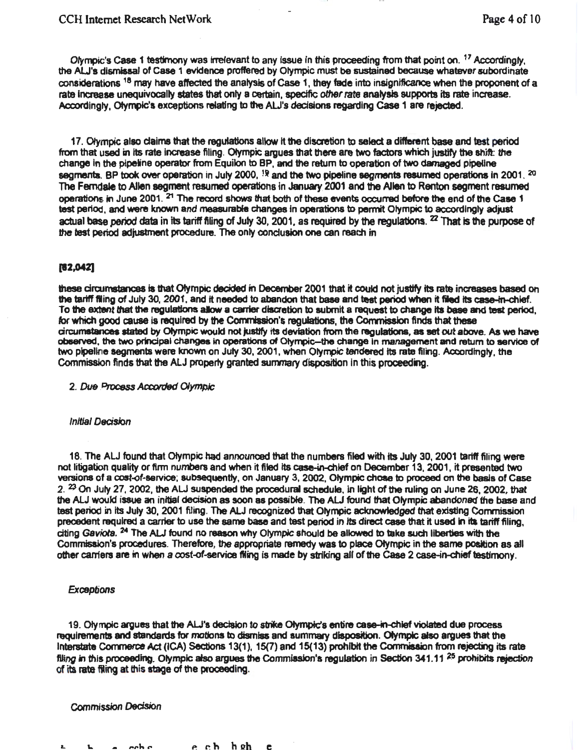Olympic's Case 1 testimony was irrelevant to any issue in this proceeding from that point on. <sup>17</sup> Accordingly, the ALJ's dismissal of Case 1 evidence proffered by Olympic must be sustained because whatever subordinate considerations 18 may have affected the analysis of case 1, they fade into insignificance when the proponent of a rate Increase unequivocally states that only a certain, spedfic other rate analysis supports its rate increase. Accordingly, Olympic's exceptions relating to the ALJ's decisions regarding Case 1 are rejected.

17. Olympic also claims that the regulations allow it the discretion to select a different base and test period from that used in Its rate increase filing. Olympic argues that there are two factors which justify the shift: the change in the pipeline operator from Equilon to BP, and the return to operation of two damaged pipeline segments. BP took over operation in July 2000,  $^{19}$  and the two pipeline segments resumed operations in 2001.  $^{20}$ The Ferndale to Allen segment resumed operations in January 2001 and the Allen to Renton segment resumed operations in June 2001. <sup>21</sup> The record shows that both of these events occurred before the end of the Case 1 test period, and were known and measurable changes in operations to permit Olympic to accordingly adjust actual base period data in its tariff filing of July 30, 2001, as required by the regulations. <sup>22</sup> That is the purpose of the test period adjustment procedure. The only conclusion one can reach in

## (12,G42]

these circumstances is that Olympic decided in December 2001 that it could not justify its rate increases based on the tariff filing of July 30, 2001, and it needed to abandon that base and test period when it filed its case-in-chief. To the extent that the regulations allow a carrier discretion to submit a request to change its base and test period, for which good cause is required by the Commission's regulations, the Commission finds that these circumstances stated by Olympic would not justify its deviation from the regulations, as set out above. As we have observed, the two principal changes in operations of Olympic-the change in management and return to service of two pipeline segments were known on July 30, 2001, when Olympic tendered Its rate filing. Accordingly, the Commission finds that the ALJ property granted summary disposition in this proceeding.

2. Due Process *AccolrJed Olympic* 

#### **Initial Decision**

18. The ALJ found that Olympic had announced that the numbers filed with Its July 30, 2001 tariff filing were not litigation quality or ftrm numbers and when it filed Its case-in-chief on December 13, 2001 , it presented two versions of a cost-of-service; subsequently, on January 3, 2002, Olympic chose to proceed on the basis of Case  $2.$   $29$  On July 27, 2002, the ALJ suspended the procedural schedule, in light of the ruling on June 26, 2002, that the ALJ would issue an initial decisfon as soon as possibfe. The AU found that Olympic abandoned the base and test period in Its July 30, 2001 filing. The ALJ recognized that Olympic acknowtedged that existing Commission precedent required a carrier to use the same base and test period in its direct case that it used in its tariff filing, citing Gaviota. <sup>24</sup> The ALJ found no reason why Olympic should be allowed to take such liberties with the Commission's procedures. Therefore, the appropriate remedy was to place Olympic in the same position as all other carriers are in when a cost-of-service filing is made by striking all of the Case 2 case-in-chief testimony.

### **Exceptions**

19. Olympic argues that the ALJ's decision to strike Olympic's entire case-in-chief violated due process requirements and standards for motions to dismiss and summary disposition. Olympic also argues that the Interstate Commerce Act (ICA) Sections 13(1), 15(7) and 15(13) prohibit the Commission from rejecting its rate flling in this proceeding. Olympic also argues the Commission's regulation in Section 341.11<sup>25</sup> prohibits rejection of ita rata fling at this stage of the proceeding.

#### Commission Decision

*P.* r.h hllh e h a cche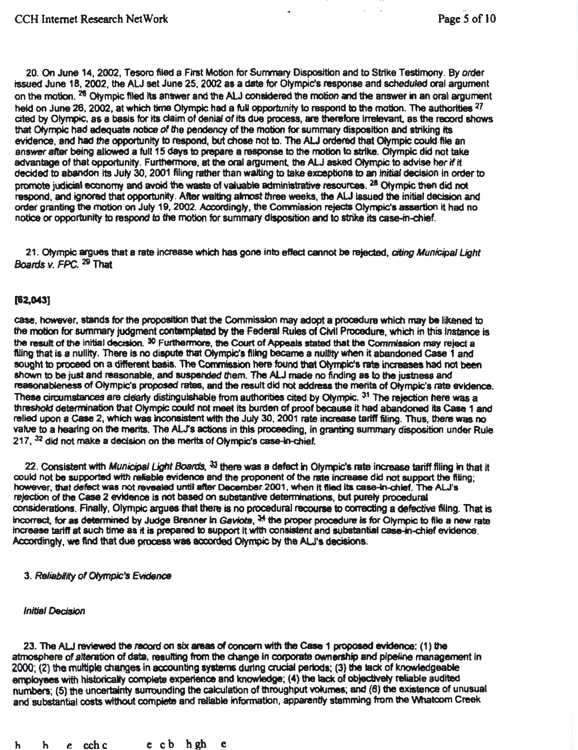20. On June 14, 2002, Tesoro filed a First Motion for Summary Disposition and to Strike Testimony. By order issued June 18, 2002, the ALJ set June 25, 2002 as a date for Olympic's response and scheduled oral argument on the motion. <sup>26</sup> Olympic filed its answer and the ALJ considered the motion and the answer in an oral argument held on June 28, 2002, at which time Olympic had a full opportunity to respond to the motion. The authorities  $^{27}$ cited by Olympic, as a basis for its claim of denial of its due process, are therefore irrelevant, as the record shows that Ofympk: had adequate notice of the pendency of the motion for summary disposition and striking Its evidence, and had the opportunity to respond, but chose not to. The ALJ ordered that Olympic could file an answer after being allowed a full 15 days to prepare a response to the motion to strike. Olympic did not take advantage of that opportunity. Furthermore, at the oral argument, the ALJ asked Olympic to advise her if it decided to abandon its July 30, 2001 filing rather than waiting to take exceptions to an initial decision in order to promote judicial economy and avoid the waste of valuable administrative resources. <sup>28</sup> Olympic then did not respond, and ignored that opportunity. After waiting almost three weeks, the ALJ issued the initial decision and order granting the motion on July 19, 2002. Accordingly, the Commission rejects Olympic's assertion it had no notice or opportunity to respond to the motion for summary disposition and to strike its case-in-chief.

21. Olympic argues that a rate increase which has gone into effect cannot be rejected, citing Municipal Light Boatds *v.* FPC. 29 That

## (62,043)

case, however, stands for the proposition that the Commission may adopt a procedure which may be likened to the motion for summary judgment contemplated by the Federal Rules of Civil Procedure, which in this instance is the result of the initial decision. 30 Furthermore, the Court of Appeals stated that the Commission may reject a filing that is a nullity. There is no dispute that Olympic's filing became a nullity when it abandoned Case 1 and sought to proceed on a different basis. The Commission here found that Olympic's rate increases had not been shown to be just and reasonable, and suspended them. The ALJ made no finding as to the justness and reasonableness of Olympic's proposed rates, and the result did not address the merits of Olympic's rate evidence. These circumstances are clearly distinguishable from authorities cited by Olympic. <sup>31</sup> The rejection here was a threshold determination that Olympic could not meet Its burden of proof because It had abandoned Its case 1 and relied upon a Case 2, which was inconsistent with the July 30, 2001 rate increase tariff filing. Thus, there was no value to a hearing on the merits. The ALJ's actions in this proceeding, in granting summary disposition under Rule  $217$ ,  $32$  did not make a decision on the merits of Olympic's case-in-chief.

22. Consistent with Municipal Light Boards,  $33$  there was a defect in Olympic's rate increase tariff filing in that it could not be supported wfth reliable evidence and the proponent of the rate increase did not support the filing; however, that defect was not revealed until after December 2001, when it filed its case-in-chief. The ALJ's rejection of the Case 2 evidence is not based on substantive determinations, but purely procedural considerations. Anally, Olympic argues that there is no procedural recourse to conecting a defective filing. That is incorrect, for as determined by Judge Brenner in Gaviota, <sup>34</sup> the proper procedure is for Olympic to file a new rate increase tariff at such time as it is prepared to support it with consistent and substantial case-in-chief evidence. Accordingly. we find that due process was accorded Olympic by the AU's decisions.

### 3. Reliability of Olympic's Evidence

#### **Initial Decision**

23. The ALJ reviewed the record on six areas of concern with the Case 1 proposed evidence: (1) the atmosphere of alteration of data, resulting from the change in corporate ownership and pipeline management in 2000; (2) the multiple changes in accounting systems during crucial periods; (3) the lack of knowledgieable employees with historically complete experience and knowledge; (4) the lack of objectively reliable audited numbers; (5) the uncertainty surrounding the calculation of throughput volumes; and (6) the existence of unusual and substantial costs without complete and reliable information, apparently stemming from the Whatcom Creek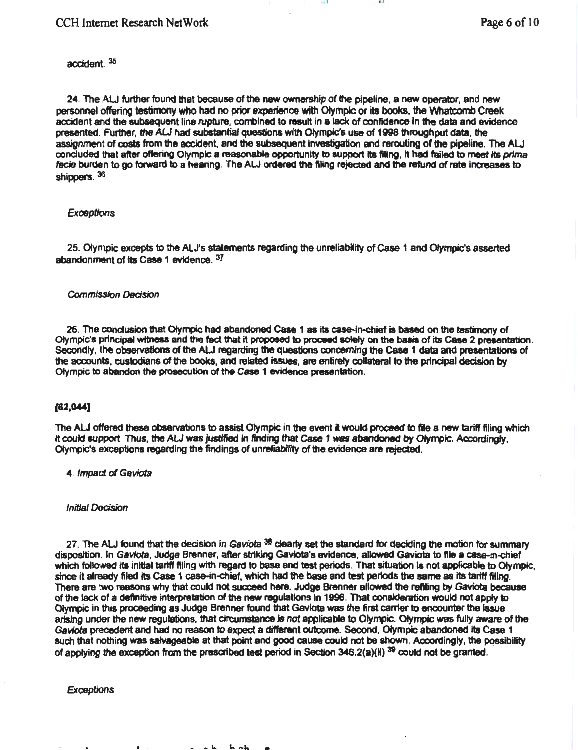## accident. <sup>35</sup>

24. The ALJ further found that because of the new ownership of the pipeline, a new operator, and new personnel offering testimony who had no prior experience with Olympic or its books, the Whatcomb Creek accident and the subsequent line rupture, combined to result in a lack of confidence in the data and evidence presented. Further, the AU had substantial questions wf1h Olympic's use of 1998 throughput data, the assignment of costs from the accident, and the subsequent Investigation and rerouting of the pipeline. The ALJ concluded that after offering Olympic a reasonable opportunity to support its filing, it had failed to meet its prima facie burden to go forward to a hearing. The ALJ ordered the filing rejected and the refund of rate increases to shippers.  $36$ 

10 1 I I I[J

### **Exceptions**

25. Olympic excepts to the ALJ's statements regarding the unreliabiity of Case 1 and Olympic's asserted abandonment of its Case 1 evidence.  $37$ 

#### Commission Decision

26. The conclusion that Olympic had abandoned Case 1 as its case-in-chief is based on the testimony of Olympic's principal witness and the fact that it proposed to proceed solely on the basis of its Case 2 presentation. Secondly, the observations of the AU regarding the questions concerning the case 1 data and presentations of the accounts, custodians of the books, and related issues, are entirety collateral to the principal decision by Olympic to abandon the prosecution of the Case 1 evidence presentation.

#### $[62,044]$

The ALJ offered these observations to assist Olympic in the event it would proceed to file a new tariff filing which It could support. Thus, the ALJ was justified in finding that Case 1 was abandoned by Olympic. Accordingly, Olympic's exceptions regarding the findings of unreliability of the evidence are rejected.

4. Impact of Gaviota

**Initial Decision** 

27. The ALJ found that the decision in Gaviota  $38$  clearly set the standard for deciding the motion for summary disposition. In Gaviota, Judge Brenner, after striking Gaviota's evidence, allowed Gaviota to file a case-in-chief which followed its initial tariff filing with regard to base and test periods. That situation is not applicable to Olympic, since it already filed its Case 1 case-in-chief, which had the base and test periods the same as its tariff filing. There are :we reasons why that could not succeed here. Judge Brenner allowed the refillng by Gaviota because of the lack of a definitive intefpretation of the new regulations In 1996. That consideration would not apply to Olympic in this proceeding as Judge Brenner found that Gaviota was the first carrier to encounter the Issue arising under the new regulations, that circumstance is not applicable to Olympic. Olympic was fully aware of the Gaviots precedent and had no reason to expect a different outcome. Second, Olympic abandoned Ita Case 1 such that nothing was salvageable at that point and good cause could not be shown. Accordingly, the possibility of applying the exception from the prescribed test period in Section 346.2(a)(ii) <sup>39</sup> could not be granted.

 $h$  ah

**Exceptions**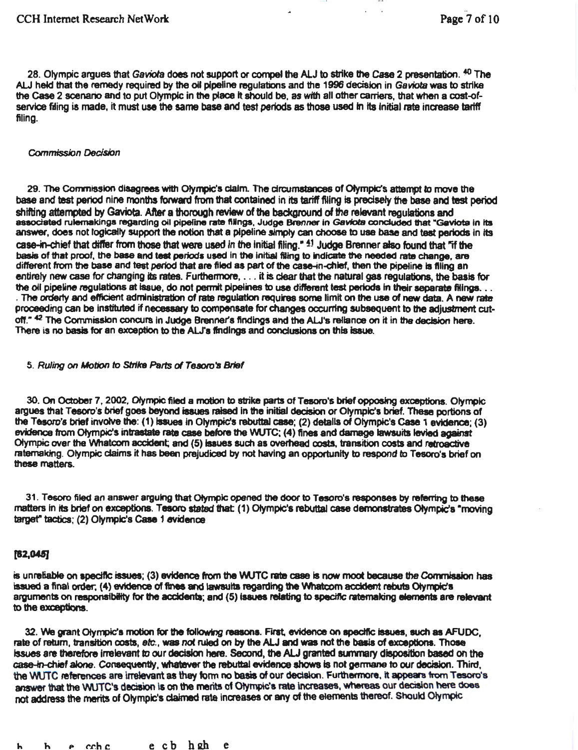28. Olympic argues that Gaviota does not support or compel the ALJ to strike the Case 2 presentation. <sup>40</sup> The ALJ held that the remedy required by the oil pipeline requistions and the 1996 decision in Gaviota was to strike the Case 2 scenario and to put Olympic in the place it should be, as with all other carriers, that when a cost-ofservice filing is made, it must use the same base and test periods as those used in its initial rate increase tariff filing.

#### Commission Decision

29. The Commission disagrees with Olympic's claim. The drcumstances of Olympic's attempt to move the base and test period nine months forward from that contained in its tariff filing is precisely the base and test period shifting attempted by Gaviota. After a thorough review of the background of the relevant ragulations and associated rulemakings regarding oil pipeline rate filings, Judge Brenner in *Gaviota concluded that "Gaviota in Its* answer, does not logically support the notion that a pipeline simply can choose to use base and test periods in its case-in-chief that differ from those that were used in the initial filing."  $4!$  Judge Brenner also found that "if the basis of that proof, the base and teet periods used In the Initial fling to Indicate the needed rata change, are different from the base and test period that are filed as part of the case-in-chief, then the pipeline is filing an entirely new case for changing its rates. Furthermore, ... it is clear that the natural gas regulations, the basis for the oil pipeline regulations at issue, do not permit pipelines to use different test periods in their separate filings. . . . The orderly and efficient administration of rate regulation requires some limit on the use of new data. A new rate proceeding can be instituted if necessary to compensate for changes occurring subsequent to the adjustment cutoff." <sup>42</sup> The Commission concurs in Judge Brenner's findings and the ALJ's reliance on it in the decision here.<br>There is no basis for an exception to the ALJ's findings and conclusions on this issue.

#### 5. Ruling on Motion to Strike Parts of Tesoro's Brief

30. On October 7, 2002, Olympic filed a motion to strike parts of Tesoro's brief opposing exceptions. Olympic argues that Tesoro's brief goes beyond issues raised In the initiaJ decision or Olympic's brief. These portions of the Tesoro's brief involve the: (1) issues in Olympic's rebuttal case; (2) details of Olympic's Case 1 evidence; (3) evidence from Olympic's intrastate rate case before the WUTC: (4) fines and damage lawsuits levied against Olympic over the W1atcom accident; and (5) issues such as overhead costs. transition costs and retroactive ratemaldng. Olympic claims it has been prejudiced by not having an opportunity to respond to Tesoro's brief on these matters.

31. Tesoro filed an answer arguing that Olympic opened the door to Tesoro's responses by referring to these matters in its brief on exceptions. Tesoro stated that: (1) Olympic's rebuttal case demonstrates Olympic's "moving target" tactics; (2) Olympic's Case 1 evidence

## (82.045]

is unreliable on specific issues; (3) evidence from the WUTC rate case is now moot because the Commission has issued a final order, (4) evidence of fines and lawsuits regarding the Whatcom accident rebuts Olympic's arguments on responsibility for the accidents; and (5) issues relating to specific ratemaking elements are relevant to the exceptions.

32. We grant Olympic's motion for the following reasons. First, evidence on specific issues, such as AFUDC, rate of return, transition costs, etc., was not ruled on by the ALJ and was not the basis of exceptions. Those issues are therefore irrelevant to our decision here. Second, the ALJ granted summary disposition based on the case-in-chief alone. Consequently, whatever the rebuttal evidence shows is not germane to our decision. Third, the WUTC references are irrelevant as they form no basis of our decision. Furthermore, it appears from Tesoro's answer that the WUTC's decision is on the merits of Olympic's rate increases, whereas our decision here does not address the merits of Olympic's claimed rate increases or any of the elements thereof. Should Olympic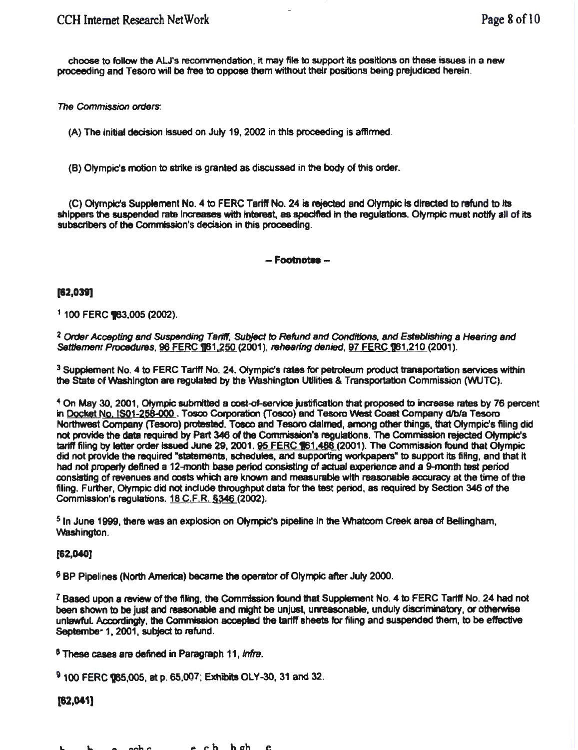choose to follow the AU's reconvnendation, It may file to support its positions on these issues in a new proceeding and Tesoro will be free to oppose them without their positions being prejudiced herein.

*The* Commission orders:

(A) The initiat decision issued on July 19, 2002 in this proceeding is affirmed.

(B) Olympic's motion to strike is granted as discussed In the body of this order.

(C) Olympic's Supplement No.4 to FERC Tariff No. 24 is rejected and otympic Is directed to refund to Its shippers the suspended rate increases with interest, as specified in the requlations. Olympic must notify all of its subscribers of the Commission's decision in this proceeding.

 $-$ Footnotes $-$ 

[62,039]

 $1$  100 FERC  $\P$ 63,005 (2002).

Z Order Accepting and Suspending Tariff, Subject *to* Refund and Conditions, and Establishing a Hearing and Settlement Procedures, 96 FERC 161,250 (2001), rehearing denied, 97 FERC 161,210 (2001).

<sup>3</sup> Supplement No. 4 to FERC Tariff No. 24. Olympic's rates for petroleum product transportation services within the State of washington are regulated by the Washington Utilities & Transportation Commission (WUTC).

<sup>4</sup> On May 30, 2001, Olympic submitted a cost-of-service justification that proposed to increase rates by 76 percent in Docket No. IS01-258.QQQ . Tosoo Corporation (Tosco) and Tesoro \Nest Coast Company dlbla Tesoro Northwest Company (Tesoro) protested. Tosco and Tesoro dalmed, among other things, that Olympic's filing did not provide the data required by Part 346 of the Commission's regulations. The Commission rejected Olympic's tariff filing by letter order issued June 29, 2001. 95 FERC 161.488 (2001). The Commission found that Olympic did not provide the required "statements, schedules, and supporting workpapers" to support its filing, and that had not propeny defined a 12-month base period consisting of actual experience and a 9-month test period consisting of reVenues and costs which are known and measurable with reasonable accuracy at the time of the filing. Further, Olympic did not lndude throughput data for the test period, as required by Section 346 of the Commission's regulations.  $18$  C.F.R.  $$346$  (2002).

5 In June 1999, there was an explosion on Olympic's pipeline in the \Nhatcom Creek area of Bellingham, Washington.

## [82,040)

6 BP Pipelines (North America) became the operator of Olympic after July 2000.

<sup>7</sup> Based upon a review of the filing, the Commission found that Supplement No. 4 to FERC Tartff No. 24 had not been shown to be just and reasonable and might be unjust, unreasonable, unduly discriminatory, or otherwise unlawful. Accordingly, the Commission accepted the tariff sheets for filing and suspended them, to be effective Septembe<sup>-</sup> 1, 2001, subject to refund.

<sup>8</sup> These cases are defined in Paragraph 11, *infra*.

<sup>9</sup> 100 FERC 185,005, at p. 65,007; Exhibits OLY-30, 31 and 32.

## $[62,041]$

P r. h h oh e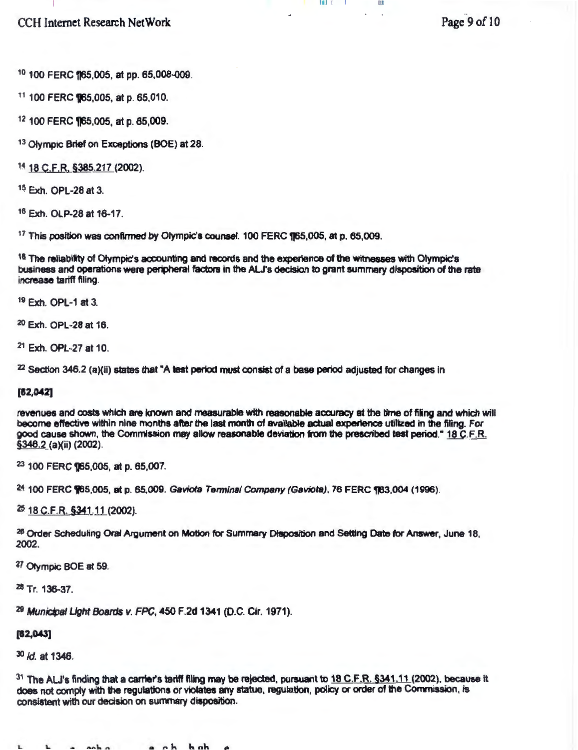CCH Internet Research NetWork

Page 9 of 10

lUI I I Ill

10 100 FERC 165,005, at pp. 65,008-009.

11 100 FERC 965,005, at p. 65,010.

12 100 FERC 165,005, at p. 65,009.

13 Olympic Brief on Exceptions (BOE) at 28.

14 18 C.F.R. §385.217 (2002).

15 Exh. OPL-28 at 3.

16 Exh. OLP-28 at 16-17.

 $17$  This position was confirmed by Olympic's counsel. 100 FERC  $\P$ 65,005, at p. 65,009.

18 The reliability of Olympic's accounting and records and the experience of the witnesses with Olympic's business and operations were peripheral factors in the ALJ's decision to grant summary disposition of the rate increase tartff filing.

19 Exh. OPL-1 at 3.

20 Exh. OPL-28 at 16.

21 Exh. OPL-27 at 10.

 $22$  Section 346.2 (a)(ii) states that "A test period must consist of a base period adjusted for changes in

## [62,042]

revenues and costs which are known and measurable with reasonable accuracy at the time of fiing and which will become effective within nine months after the last month of available actual experience utilized in the filing. For good cause shown, the Commission may allow reasonable deviation from the prescribed test period." 18 C.F.R. §346.2 (a)(ii) (2002).

23 100 FERC 165,005, at p. 65,007.

<sup>24</sup>. 100 FERC **965,005, at p. 65,009. Gaviota Terminal Company (Geviota), 76 FERC 983,004 (1996).** 

~ 18 C.F.R. §341\_.11(2002).

<sup>26</sup> Order Scheduling Oral Argument on Motion for Summary Disposition and Setting Date for Answer, June 18, 2002.

*V* Olympic BOE at 59.

<sup>28</sup>Tr. 136-37.

<sup>29</sup> Municipal Light Boards v. FPC, 450 F.2d 1341 (D.C. Cir. 1971).

[62,043]

30 ld. at 1346.

 $31$  The ALJ's finding that a carrier's tariff filing may be rejected, pursuant to 18 C.F.R. §341.11 (2002), because it does not comply with the regulations or violates any statue, regulation, policy or order of the Commission, is consistent with our decision on summary disposition.

 $L$  a cabo a ch hab  $\rho$